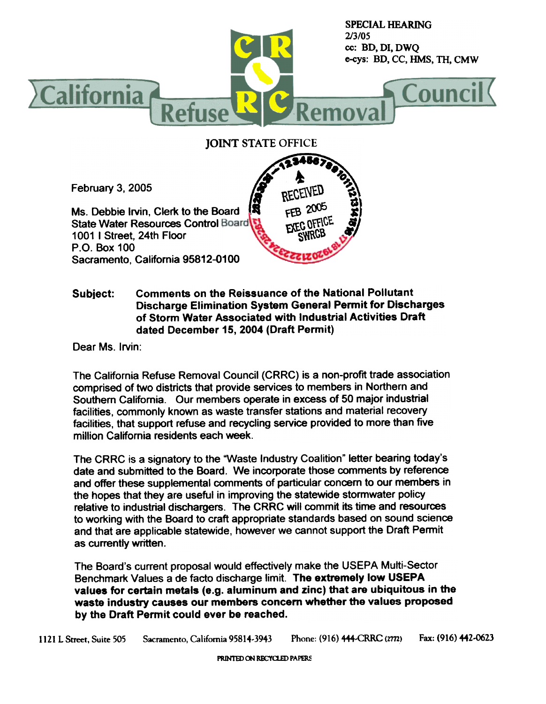

## Comments on the Reissuance of the National Pollutant Subject: Discharge Elimination System General Permit for Discharges of Storm Water Associated with Industrial Activities Draft dated December 15, 2004 (Draft Permit)

Dear Ms. Irvin:

The California Refuse Removal Council (CRRC) is a non-profit trade association comprised of two districts that provide services to members in Northern and Southern California. Our members operate in excess of 50 major industrial facilities, commonly known as waste transfer stations and material recovery facilities, that support refuse and recycling service provided to more than five million California residents each week.

The CRRC is a signatory to the "Waste Industry Coalition" letter bearing today's date and submitted to the Board. We incorporate those comments by reference and offer these supplemental comments of particular concern to our members in the hopes that they are useful in improving the statewide stormwater policy<br>relative to industrial dischargers. The CRRC will commit its time and resources to working with the Board to craft appropriate standards based on sound science and that are applicable statewide, however we cannot support the Draft Permit as currently written.

The Board's current proposal would effectively make the USEPA Multi-Sector Benchmark Values a de facto discharge limit. The extremely low USEPA values for certain metals (e.g. aluminum and zinc) that are ubiquitous in the waste industry causes our members concern whether the values proposed by the Draft Permit could ever be reached.